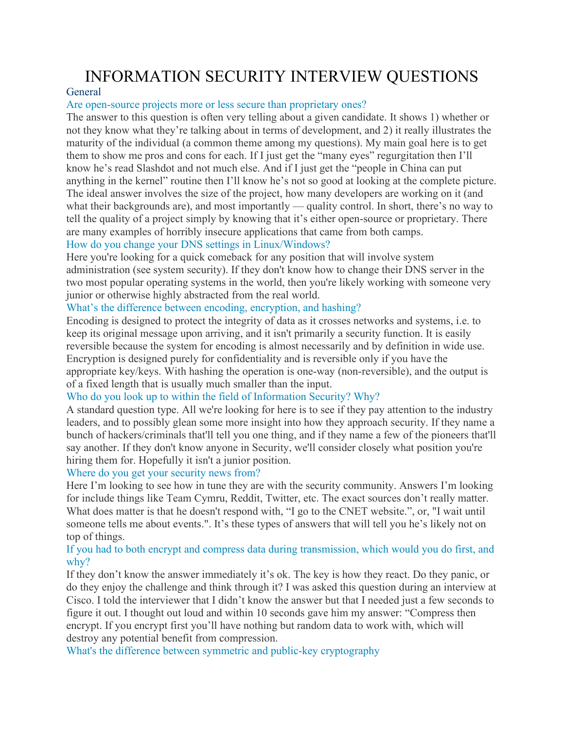# INFORMATION SECURITY INTERVIEW QUESTIONS

# **General**

### Are open-source projects more or less secure than proprietary ones?

The answer to this question is often very telling about a given candidate. It shows 1) whether or not they know what they're talking about in terms of development, and 2) it really illustrates the maturity of the individual (a common theme among my questions). My main goal here is to get them to show me pros and cons for each. If I just get the "many eyes" regurgitation then I'll know he's read Slashdot and not much else. And if I just get the "people in China can put anything in the kernel" routine then I'll know he's not so good at looking at the complete picture. The ideal answer involves the size of the project, how many developers are working on it (and what their backgrounds are), and most importantly — quality control. In short, there's no way to tell the quality of a project simply by knowing that it's either open-source or proprietary. There are many examples of horribly insecure applications that came from both camps. How do you change your DNS settings in Linux/Windows?

Here you're looking for a quick comeback for any position that will involve system administration (see system security). If they don't know how to change their DNS server in the two most popular operating systems in the world, then you're likely working with someone very junior or otherwise highly abstracted from the real world.

# What's the difference between encoding, encryption, and hashing?

Encoding is designed to protect the integrity of data as it crosses networks and systems, i.e. to keep its original message upon arriving, and it isn't primarily a security function. It is easily reversible because the system for encoding is almost necessarily and by definition in wide use. Encryption is designed purely for confidentiality and is reversible only if you have the appropriate key/keys. With hashing the operation is one-way (non-reversible), and the output is of a fixed length that is usually much smaller than the input.

# Who do you look up to within the field of Information Security? Why?

A standard question type. All we're looking for here is to see if they pay attention to the industry leaders, and to possibly glean some more insight into how they approach security. If they name a bunch of hackers/criminals that'll tell you one thing, and if they name a few of the pioneers that'll say another. If they don't know anyone in Security, we'll consider closely what position you're hiring them for. Hopefully it isn't a junior position.

### Where do you get your security news from?

Here I'm looking to see how in tune they are with the security community. Answers I'm looking for include things like Team Cymru, Reddit, Twitter, etc. The exact sources don't really matter. What does matter is that he doesn't respond with, "I go to the CNET website.", or, "I wait until someone tells me about events.". It's these types of answers that will tell you he's likely not on top of things.

# If you had to both encrypt and compress data during transmission, which would you do first, and why?

If they don't know the answer immediately it's ok. The key is how they react. Do they panic, or do they enjoy the challenge and think through it? I was asked this question during an interview at Cisco. I told the interviewer that I didn't know the answer but that I needed just a few seconds to figure it out. I thought out loud and within 10 seconds gave him my answer: "Compress then encrypt. If you encrypt first you'll have nothing but random data to work with, which will destroy any potential benefit from compression.

What's the difference between symmetric and public-key cryptography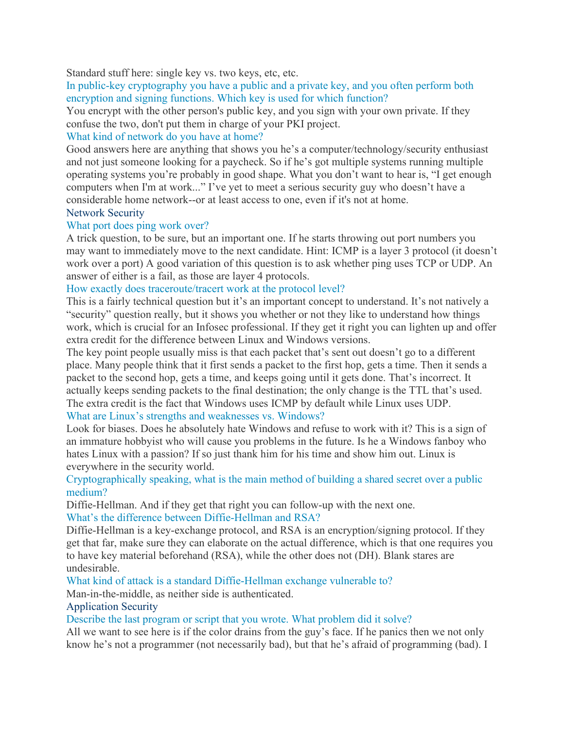Standard stuff here: single key vs. two keys, etc, etc.

In public-key cryptography you have a public and a private key, and you often perform both encryption and signing functions. Which key is used for which function?

You encrypt with the other person's public key, and you sign with your own private. If they confuse the two, don't put them in charge of your PKI project.

# What kind of network do you have at home?

Good answers here are anything that shows you he's a computer/technology/security enthusiast and not just someone looking for a paycheck. So if he's got multiple systems running multiple operating systems you're probably in good shape. What you don't want to hear is, "I get enough computers when I'm at work..." I've yet to meet a serious security guy who doesn't have a considerable home network--or at least access to one, even if it's not at home.

# Network Security

### What port does ping work over?

A trick question, to be sure, but an important one. If he starts throwing out port numbers you may want to immediately move to the next candidate. Hint: ICMP is a layer 3 protocol (it doesn't work over a port) A good variation of this question is to ask whether ping uses TCP or UDP. An answer of either is a fail, as those are layer 4 protocols.

### How exactly does traceroute/tracert work at the protocol level?

This is a fairly technical question but it's an important concept to understand. It's not natively a "security" question really, but it shows you whether or not they like to understand how things work, which is crucial for an Infosec professional. If they get it right you can lighten up and offer extra credit for the difference between Linux and Windows versions.

The key point people usually miss is that each packet that's sent out doesn't go to a different place. Many people think that it first sends a packet to the first hop, gets a time. Then it sends a packet to the second hop, gets a time, and keeps going until it gets done. That's incorrect. It actually keeps sending packets to the final destination; the only change is the TTL that's used. The extra credit is the fact that Windows uses ICMP by default while Linux uses UDP. What are Linux's strengths and weaknesses vs. Windows?

Look for biases. Does he absolutely hate Windows and refuse to work with it? This is a sign of an immature hobbyist who will cause you problems in the future. Is he a Windows fanboy who hates Linux with a passion? If so just thank him for his time and show him out. Linux is everywhere in the security world.

# Cryptographically speaking, what is the main method of building a shared secret over a public medium?

Diffie-Hellman. And if they get that right you can follow-up with the next one.

What's the difference between Diffie-Hellman and RSA?

Diffie-Hellman is a key-exchange protocol, and RSA is an encryption/signing protocol. If they get that far, make sure they can elaborate on the actual difference, which is that one requires you to have key material beforehand (RSA), while the other does not (DH). Blank stares are undesirable.

What kind of attack is a standard Diffie-Hellman exchange vulnerable to?

Man-in-the-middle, as neither side is authenticated.

### Application Security

Describe the last program or script that you wrote. What problem did it solve?

All we want to see here is if the color drains from the guy's face. If he panics then we not only know he's not a programmer (not necessarily bad), but that he's afraid of programming (bad). I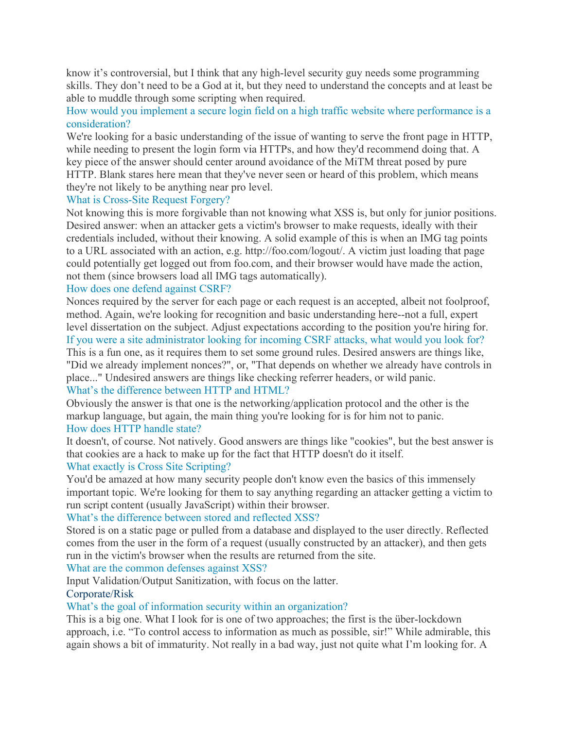know it's controversial, but I think that any high-level security guy needs some programming skills. They don't need to be a God at it, but they need to understand the concepts and at least be able to muddle through some scripting when required.

# How would you implement a secure login field on a high traffic website where performance is a consideration?

We're looking for a basic understanding of the issue of wanting to serve the front page in HTTP, while needing to present the login form via HTTPs, and how they'd recommend doing that. A key piece of the answer should center around avoidance of the MiTM threat posed by pure HTTP. Blank stares here mean that they've never seen or heard of this problem, which means they're not likely to be anything near pro level.

# What is Cross-Site Request Forgery?

Not knowing this is more forgivable than not knowing what XSS is, but only for junior positions. Desired answer: when an attacker gets a victim's browser to make requests, ideally with their credentials included, without their knowing. A solid example of this is when an IMG tag points to a URL associated with an action, e.g. http://foo.com/logout/. A victim just loading that page could potentially get logged out from foo.com, and their browser would have made the action, not them (since browsers load all IMG tags automatically).

# How does one defend against CSRF?

Nonces required by the server for each page or each request is an accepted, albeit not foolproof, method. Again, we're looking for recognition and basic understanding here--not a full, expert level dissertation on the subject. Adjust expectations according to the position you're hiring for. If you were a site administrator looking for incoming CSRF attacks, what would you look for?

This is a fun one, as it requires them to set some ground rules. Desired answers are things like, "Did we already implement nonces?", or, "That depends on whether we already have controls in place..." Undesired answers are things like checking referrer headers, or wild panic.

# What's the difference between HTTP and HTML?

Obviously the answer is that one is the networking/application protocol and the other is the markup language, but again, the main thing you're looking for is for him not to panic. How does HTTP handle state?

It doesn't, of course. Not natively. Good answers are things like "cookies", but the best answer is that cookies are a hack to make up for the fact that HTTP doesn't do it itself. What exactly is Cross Site Scripting?

You'd be amazed at how many security people don't know even the basics of this immensely important topic. We're looking for them to say anything regarding an attacker getting a victim to run script content (usually JavaScript) within their browser.

# What's the difference between stored and reflected XSS?

Stored is on a static page or pulled from a database and displayed to the user directly. Reflected comes from the user in the form of a request (usually constructed by an attacker), and then gets run in the victim's browser when the results are returned from the site.

# What are the common defenses against XSS?

Input Validation/Output Sanitization, with focus on the latter. Corporate/Risk

# What's the goal of information security within an organization?

This is a big one. What I look for is one of two approaches; the first is the über-lockdown approach, i.e. "To control access to information as much as possible, sir!" While admirable, this again shows a bit of immaturity. Not really in a bad way, just not quite what I'm looking for. A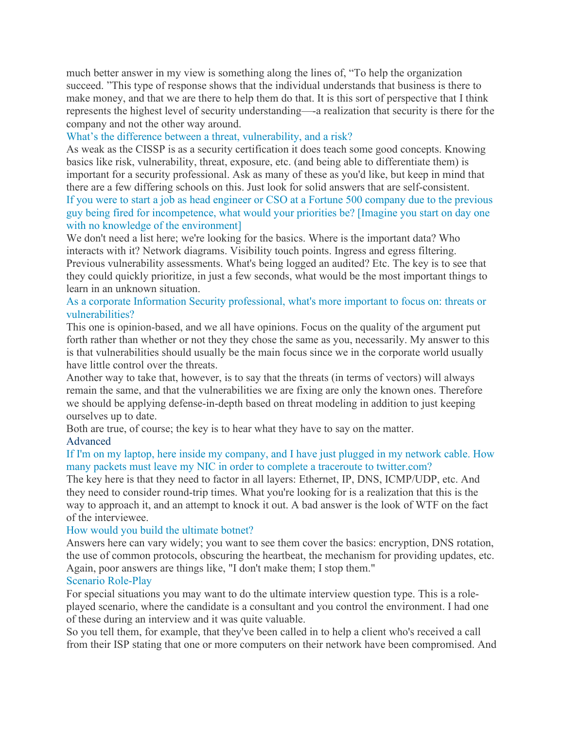much better answer in my view is something along the lines of, "To help the organization succeed. "This type of response shows that the individual understands that business is there to make money, and that we are there to help them do that. It is this sort of perspective that I think represents the highest level of security understanding—-a realization that security is there for the company and not the other way around.

### What's the difference between a threat, vulnerability, and a risk?

As weak as the CISSP is as a security certification it does teach some good concepts. Knowing basics like risk, vulnerability, threat, exposure, etc. (and being able to differentiate them) is important for a security professional. Ask as many of these as you'd like, but keep in mind that there are a few differing schools on this. Just look for solid answers that are self-consistent. If you were to start a job as head engineer or CSO at a Fortune 500 company due to the previous guy being fired for incompetence, what would your priorities be? [Imagine you start on day one with no knowledge of the environment]

We don't need a list here; we're looking for the basics. Where is the important data? Who interacts with it? Network diagrams. Visibility touch points. Ingress and egress filtering. Previous vulnerability assessments. What's being logged an audited? Etc. The key is to see that they could quickly prioritize, in just a few seconds, what would be the most important things to learn in an unknown situation.

### As a corporate Information Security professional, what's more important to focus on: threats or vulnerabilities?

This one is opinion-based, and we all have opinions. Focus on the quality of the argument put forth rather than whether or not they they chose the same as you, necessarily. My answer to this is that vulnerabilities should usually be the main focus since we in the corporate world usually have little control over the threats.

Another way to take that, however, is to say that the threats (in terms of vectors) will always remain the same, and that the vulnerabilities we are fixing are only the known ones. Therefore we should be applying defense-in-depth based on threat modeling in addition to just keeping ourselves up to date.

Both are true, of course; the key is to hear what they have to say on the matter. Advanced

# If I'm on my laptop, here inside my company, and I have just plugged in my network cable. How many packets must leave my NIC in order to complete a traceroute to twitter.com?

The key here is that they need to factor in all layers: Ethernet, IP, DNS, ICMP/UDP, etc. And they need to consider round-trip times. What you're looking for is a realization that this is the way to approach it, and an attempt to knock it out. A bad answer is the look of WTF on the fact of the interviewee.

### How would you build the ultimate botnet?

Answers here can vary widely; you want to see them cover the basics: encryption, DNS rotation, the use of common protocols, obscuring the heartbeat, the mechanism for providing updates, etc. Again, poor answers are things like, "I don't make them; I stop them."

### Scenario Role-Play

For special situations you may want to do the ultimate interview question type. This is a roleplayed scenario, where the candidate is a consultant and you control the environment. I had one of these during an interview and it was quite valuable.

So you tell them, for example, that they've been called in to help a client who's received a call from their ISP stating that one or more computers on their network have been compromised. And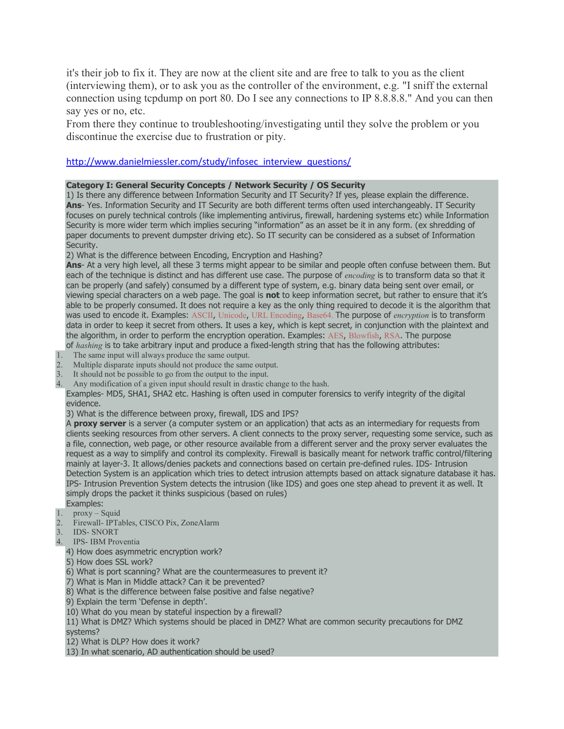it's their job to fix it. They are now at the client site and are free to talk to you as the client (interviewing them), or to ask you as the controller of the environment, e.g. "I sniff the external connection using tcpdump on port 80. Do I see any connections to IP 8.8.8.8." And you can then say yes or no, etc.

From there they continue to troubleshooting/investigating until they solve the problem or you discontinue the exercise due to frustration or pity.

### [http://www.danielmiessler.com/study/infosec\\_interview\\_questions/](http://www.danielmiessler.com/study/infosec_interview_questions/)

### **Category I: General Security Concepts / Network Security / OS Security**

1) Is there any difference between Information Security and IT Security? If yes, please explain the difference. **Ans**- Yes. Information Security and IT Security are both different terms often used interchangeably. IT Security focuses on purely technical controls (like implementing antivirus, firewall, hardening systems etc) while Information Security is more wider term which implies securing "information" as an asset be it in any form. (ex shredding of paper documents to prevent dumpster driving etc). So IT security can be considered as a subset of Information Security.

2) What is the difference between Encoding, Encryption and Hashing?

**Ans**- At a very high level, all these 3 terms might appear to be similar and people often confuse between them. But each of the technique is distinct and has different use case. The purpose of *encoding* is to transform data so that it can be properly (and safely) consumed by a different type of system, e.g. binary data being sent over email, or viewing special characters on a web page. The goal is **not** to keep information secret, but rather to ensure that it's able to be properly consumed. It does not require a key as the only thing required to decode it is the algorithm that was used to encode it. Examples: [ASCII](http://www.asciitable.com/), [Unicode](http://danielmiessler.com/study/encoding/#unicode), URL [Encoding](http://www.eskimo.com/%7Ebloo/indexdot/html/topics/urlencoding.htm), [Base64.](http://en.wikipedia.org/wiki/Base64) The purpose of *encryption* is to transform data in order to keep it secret from others. It uses a key, which is kept secret, in conjunction with the plaintext and the algorithm, in order to perform the encryption operation. Examples: [AES](http://www.aes.org/), [Blowfish](http://www.blowfishsushi.com/), [RSA](http://www.rsa.com/). The purpose of *hashing* is to take arbitrary input and produce a fixed-length string that has the following attributes:

- 1. The same input will always produce the same output.
- 2. Multiple disparate inputs should not produce the same output.
- 3. It should not be possible to go from the output to the input.
- 4. Any modification of a given input should result in drastic change to the hash.

Examples- MD5, SHA1, SHA2 etc. Hashing is often used in computer forensics to verify integrity of the digital evidence.

3) What is the difference between proxy, firewall, IDS and IPS?

A **proxy server** is a server (a computer system or an application) that acts as an intermediary for requests from clients seeking resources from other servers. A client connects to the proxy server, requesting some service, such as a file, connection, web page, or other resource available from a different server and the proxy server evaluates the request as a way to simplify and control its complexity. Firewall is basically meant for network traffic control/filtering mainly at layer-3. It allows/denies packets and connections based on certain pre-defined rules. IDS- Intrusion Detection System is an application which tries to detect intrusion attempts based on attack signature database it has. IPS- Intrusion Prevention System detects the intrusion (like IDS) and goes one step ahead to prevent it as well. It simply drops the packet it thinks suspicious (based on rules)

- Examples:
- 1. proxy Squid
- 2. Firewall- IPTables, CISCO Pix, ZoneAlarm
- 3. IDS- SNORT
- 4. IPS- IBM Proventia
	- 4) How does asymmetric encryption work?
	- 5) How does SSL work?
	- 6) What is port scanning? What are the countermeasures to prevent it?
	- 7) What is Man in Middle attack? Can it be prevented?
	- 8) What is the difference between false positive and false negative?
	- 9) Explain the term 'Defense in depth'.
	- 10) What do you mean by stateful inspection by a firewall?

11) What is DMZ? Which systems should be placed in DMZ? What are common security precautions for DMZ systems?

- 12) What is DLP? How does it work?
- 13) In what scenario, AD authentication should be used?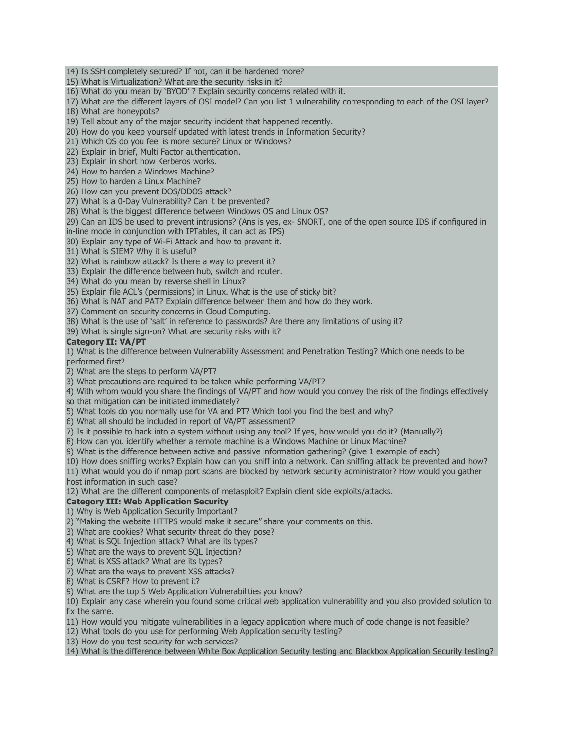14) Is SSH completely secured? If not, can it be hardened more?

15) What is Virtualization? What are the security risks in it?

16) What do you mean by 'BYOD' ? Explain security concerns related with it.

17) What are the different layers of OSI model? Can you list 1 vulnerability corresponding to each of the OSI layer? 18) What are honeypots?

19) Tell about any of the major security incident that happened recently.

20) How do you keep yourself updated with latest trends in Information Security?

21) Which OS do you feel is more secure? Linux or Windows?

22) Explain in brief, Multi Factor authentication.

23) Explain in short how Kerberos works.

24) How to harden a Windows Machine?

25) How to harden a Linux Machine?

26) How can you prevent DOS/DDOS attack?

27) What is a 0-Day Vulnerability? Can it be prevented?

28) What is the biggest difference between Windows OS and Linux OS?

29) Can an IDS be used to prevent intrusions? (Ans is yes, ex- SNORT, one of the open source IDS if configured in in-line mode in conjunction with IPTables, it can act as IPS)

30) Explain any type of Wi-Fi Attack and how to prevent it.

31) What is SIEM? Why it is useful?

32) What is rainbow attack? Is there a way to prevent it?

33) Explain the difference between hub, switch and router.

34) What do you mean by reverse shell in Linux?

35) Explain file ACL's (permissions) in Linux. What is the use of sticky bit?

36) What is NAT and PAT? Explain difference between them and how do they work.

37) Comment on security concerns in Cloud Computing.

38) What is the use of 'salt' in reference to passwords? Are there any limitations of using it?

39) What is single sign-on? What are security risks with it?

### **Category II: VA/PT**

1) What is the difference between Vulnerability Assessment and Penetration Testing? Which one needs to be performed first?

2) What are the steps to perform VA/PT?

3) What precautions are required to be taken while performing VA/PT?

4) With whom would you share the findings of VA/PT and how would you convey the risk of the findings effectively

so that mitigation can be initiated immediately?

5) What tools do you normally use for VA and PT? Which tool you find the best and why?

6) What all should be included in report of VA/PT assessment?

7) Is it possible to hack into a system without using any tool? If yes, how would you do it? (Manually?)

8) How can you identify whether a remote machine is a Windows Machine or Linux Machine?

9) What is the difference between active and passive information gathering? (give 1 example of each)

10) How does sniffing works? Explain how can you sniff into a network. Can sniffing attack be prevented and how?

11) What would you do if nmap port scans are blocked by network security administrator? How would you gather

host information in such case?

12) What are the different components of metasploit? Explain client side exploits/attacks.

### **Category III: Web Application Security**

1) Why is Web Application Security Important?

2) "Making the website HTTPS would make it secure" share your comments on this.

3) What are cookies? What security threat do they pose?

4) What is SQL Injection attack? What are its types?

5) What are the ways to prevent SQL Injection?

6) What is XSS attack? What are its types?

7) What are the ways to prevent XSS attacks?

8) What is CSRF? How to prevent it?

9) What are the top 5 Web Application Vulnerabilities you know?

10) Explain any case wherein you found some critical web application vulnerability and you also provided solution to fix the same.

11) How would you mitigate vulnerabilities in a legacy application where much of code change is not feasible?

12) What tools do you use for performing Web Application security testing?

13) How do you test security for web services?

14) What is the difference between White Box Application Security testing and Blackbox Application Security testing?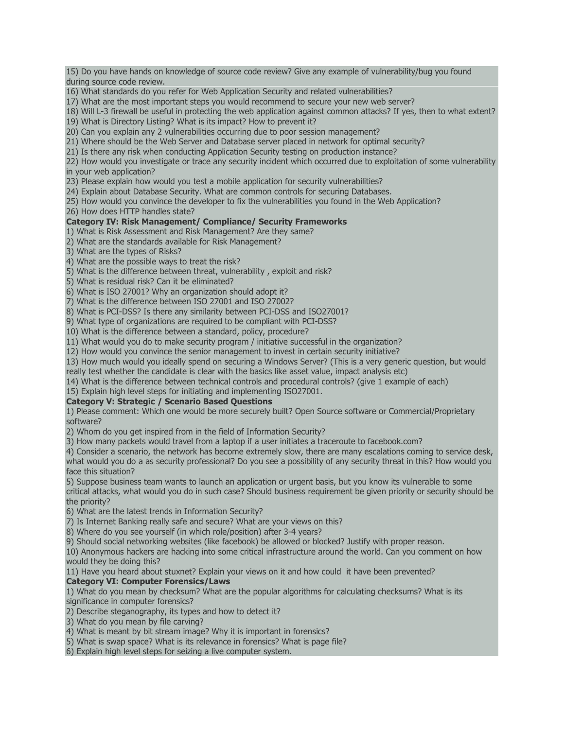15) Do you have hands on knowledge of source code review? Give any example of vulnerability/bug you found during source code review. 16) What standards do you refer for Web Application Security and related vulnerabilities? 17) What are the most important steps you would recommend to secure your new web server? 18) Will L-3 firewall be useful in protecting the web application against common attacks? If yes, then to what extent? 19) What is Directory Listing? What is its impact? How to prevent it? 20) Can you explain any 2 vulnerabilities occurring due to poor session management? 21) Where should be the Web Server and Database server placed in network for optimal security? 21) Is there any risk when conducting Application Security testing on production instance? 22) How would you investigate or trace any security incident which occurred due to exploitation of some vulnerability in your web application? 23) Please explain how would you test a mobile application for security vulnerabilities? 24) Explain about Database Security. What are common controls for securing Databases.

25) How would you convince the developer to fix the vulnerabilities you found in the Web Application?

26) How does HTTP handles state?

### **Category IV: Risk Management/ Compliance/ Security Frameworks**

1) What is Risk Assessment and Risk Management? Are they same?

2) What are the standards available for Risk Management?

3) What are the types of Risks?

4) What are the possible ways to treat the risk?

5) What is the difference between threat, vulnerability , exploit and risk?

5) What is residual risk? Can it be eliminated?

6) What is ISO 27001? Why an organization should adopt it?

7) What is the difference between ISO 27001 and ISO 27002?

8) What is PCI-DSS? Is there any similarity between PCI-DSS and ISO27001?

9) What type of organizations are required to be compliant with PCI-DSS?

10) What is the difference between a standard, policy, procedure?

11) What would you do to make security program / initiative successful in the organization?

12) How would you convince the senior management to invest in certain security initiative?

13) How much would you ideally spend on securing a Windows Server? (This is a very generic question, but would

really test whether the candidate is clear with the basics like asset value, impact analysis etc)

14) What is the difference between technical controls and procedural controls? (give 1 example of each)

15) Explain high level steps for initiating and implementing ISO27001.

### **Category V: Strategic / Scenario Based Questions**

1) Please comment: Which one would be more securely built? Open Source software or Commercial/Proprietary software?

2) Whom do you get inspired from in the field of Information Security?

3) How many packets would travel from a laptop if a user initiates a traceroute to facebook.com?

4) Consider a scenario, the network has become extremely slow, there are many escalations coming to service desk, what would you do a as security professional? Do you see a possibility of any security threat in this? How would you face this situation?

5) Suppose business team wants to launch an application or urgent basis, but you know its vulnerable to some critical attacks, what would you do in such case? Should business requirement be given priority or security should be the priority?

6) What are the latest trends in Information Security?

7) Is Internet Banking really safe and secure? What are your views on this?

8) Where do you see yourself (in which role/position) after 3-4 years?

9) Should social networking websites (like facebook) be allowed or blocked? Justify with proper reason.

10) Anonymous hackers are hacking into some critical infrastructure around the world. Can you comment on how would they be doing this?

11) Have you heard about stuxnet? Explain your views on it and how could it have been prevented?

### **Category VI: Computer Forensics/Laws**

1) What do you mean by checksum? What are the popular algorithms for calculating checksums? What is its significance in computer forensics?

2) Describe steganography, its types and how to detect it?

3) What do you mean by file carving?

4) What is meant by bit stream image? Why it is important in forensics?

5) What is swap space? What is its relevance in forensics? What is page file?

6) Explain high level steps for seizing a live computer system.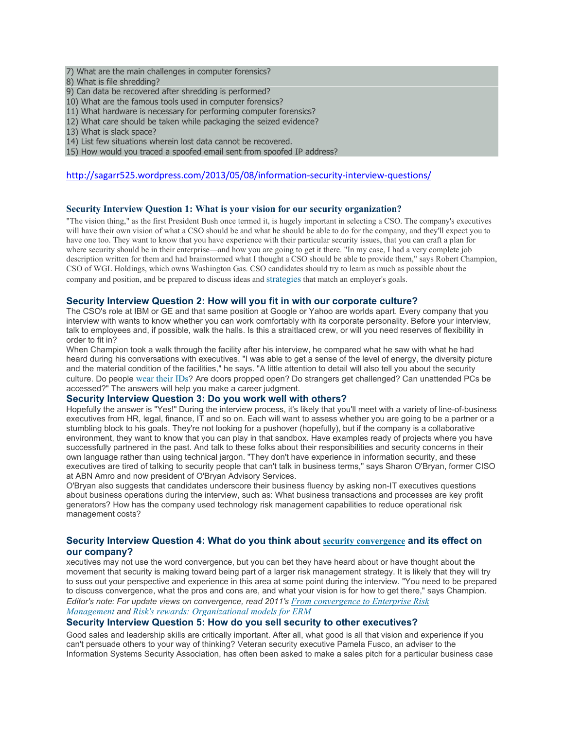- 7) What are the main challenges in computer forensics?
- 8) What is file shredding?
- 9) Can data be recovered after shredding is performed?
- 10) What are the famous tools used in computer forensics?
- 11) What hardware is necessary for performing computer forensics?
- 12) What care should be taken while packaging the seized evidence?
- 13) What is slack space?
- 14) List few situations wherein lost data cannot be recovered.
- 15) How would you traced a spoofed email sent from spoofed IP address?

#### <http://sagarr525.wordpress.com/2013/05/08/information-security-interview-questions/>

#### **Security Interview Question 1: What is your vision for our security organization?**

"The vision thing," as the first President Bush once termed it, is hugely important in selecting a CSO. The company's executives will have their own vision of what a CSO should be and what he should be able to do for the company, and they'll expect you to have one too. They want to know that you have experience with their particular security issues, that you can craft a plan for where security should be in their enterprise—and how you are going to get it there. "In my case, I had a very complete job description written for them and had brainstormed what I thought a CSO should be able to provide them," says Robert Champion, CSO of WGL Holdings, which owns Washington Gas. CSO candidates should try to learn as much as possible about the company and position, and be prepared to discuss ideas and [strategies](http://www.csoonline.com/article/220900/www.csoonline.com/article/220459) that match an employer's goals.

#### **Security Interview Question 2: How will you fit in with our corporate culture?**

The CSO's role at IBM or GE and that same position at Google or Yahoo are worlds apart. Every company that you interview with wants to know whether you can work comfortably with its corporate personality. Before your interview, talk to employees and, if possible, walk the halls. Is this a straitlaced crew, or will you need reserves of flexibility in order to fit in?

When Champion took a walk through the facility after his interview, he compared what he saw with what he had heard during his conversations with executives. "I was able to get a sense of the level of energy, the diversity picture and the material condition of the facilities," he says. "A little attention to detail will also tell you about the security culture. Do people [wear](http://www.csoonline.com/article/221293/The_Problem_with_Employee_Badges_As_a_Security_Mechanism) their IDs? Are doors propped open? Do strangers get challenged? Can unattended PCs be accessed?" The answers will help you make a career judgment.

### **Security Interview Question 3: Do you work well with others?**

Hopefully the answer is "Yes!" During the interview process, it's likely that you'll meet with a variety of line-of-business executives from HR, legal, finance, IT and so on. Each will want to assess whether you are going to be a partner or a stumbling block to his goals. They're not looking for a pushover (hopefully), but if the company is a collaborative environment, they want to know that you can play in that sandbox. Have examples ready of projects where you have successfully partnered in the past. And talk to these folks about their responsibilities and security concerns in their own language rather than using technical jargon. "They don't have experience in information security, and these executives are tired of talking to security people that can't talk in business terms," says Sharon O'Bryan, former CISO at ABN Amro and now president of O'Bryan Advisory Services.

O'Bryan also suggests that candidates underscore their business fluency by asking non-IT executives questions about business operations during the interview, such as: What business transactions and processes are key profit generators? How has the company used technology risk management capabilities to reduce operational risk management costs?

#### **Security Interview Question 4: What do you think about security [convergence](http://www.csoonline.com/article/220900/www.csoonline.com/article/220278) and its effect on our company?**

xecutives may not use the word convergence, but you can bet they have heard about or have thought about the movement that security is making toward being part of a larger risk management strategy. It is likely that they will try to suss out your perspective and experience in this area at some point during the interview. "You need to be prepared to discuss convergence, what the pros and cons are, and what your vision is for how to get there," says Champion. *Editor's note: For update views on convergence, read 2011's From [convergence](http://www.csoonline.com/article/663970/from-convergence-to-erm) to Enterprise Risk [Management](http://www.csoonline.com/article/663970/from-convergence-to-erm) and Risk's rewards: [Organizational](http://www.csoonline.com/article/682961/risk-s-rewards-organizational-models-for-erm) models for ERM*

#### **Security Interview Question 5: How do you sell security to other executives?**

Good sales and leadership skills are critically important. After all, what good is all that vision and experience if you can't persuade others to your way of thinking? Veteran security executive Pamela Fusco, an adviser to the Information Systems Security Association, has often been asked to make a sales pitch for a particular business case